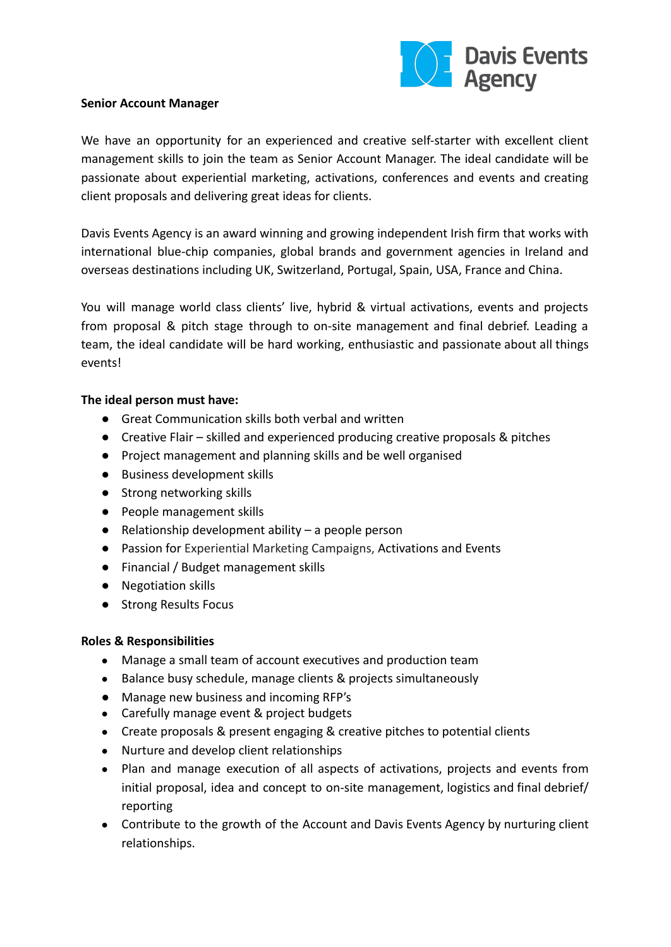

#### **Senior Account Manager**

We have an opportunity for an experienced and creative self-starter with excellent client management skills to join the team as Senior Account Manager. The ideal candidate will be passionate about experiential marketing, activations, conferences and events and creating client proposals and delivering great ideas for clients.

Davis Events Agency is an award winning and growing independent Irish firm that works with international blue-chip companies, global brands and government agencies in Ireland and overseas destinations including UK, Switzerland, Portugal, Spain, USA, France and China.

You will manage world class clients' live, hybrid & virtual activations, events and projects from proposal & pitch stage through to on-site management and final debrief. Leading a team, the ideal candidate will be hard working, enthusiastic and passionate about all things events!

## **The ideal person must have:**

- Great Communication skills both verbal and written
- Creative Flair skilled and experienced producing creative proposals & pitches
- Project management and planning skills and be well organised
- Business development skills
- Strong networking skills
- People management skills
- $\bullet$  Relationship development ability a people person
- Passion for Experiential Marketing Campaigns, Activations and Events
- Financial / Budget management skills
- Negotiation skills
- Strong Results Focus

## **Roles & Responsibilities**

- Manage a small team of account executives and production team
- Balance busy schedule, manage clients & projects simultaneously
- Manage new business and incoming RFP's
- Carefully manage event & project budgets
- Create proposals & present engaging & creative pitches to potential clients
- Nurture and develop client relationships
- Plan and manage execution of all aspects of activations, projects and events from initial proposal, idea and concept to on-site management, logistics and final debrief/ reporting
- Contribute to the growth of the Account and Davis Events Agency by nurturing client relationships.